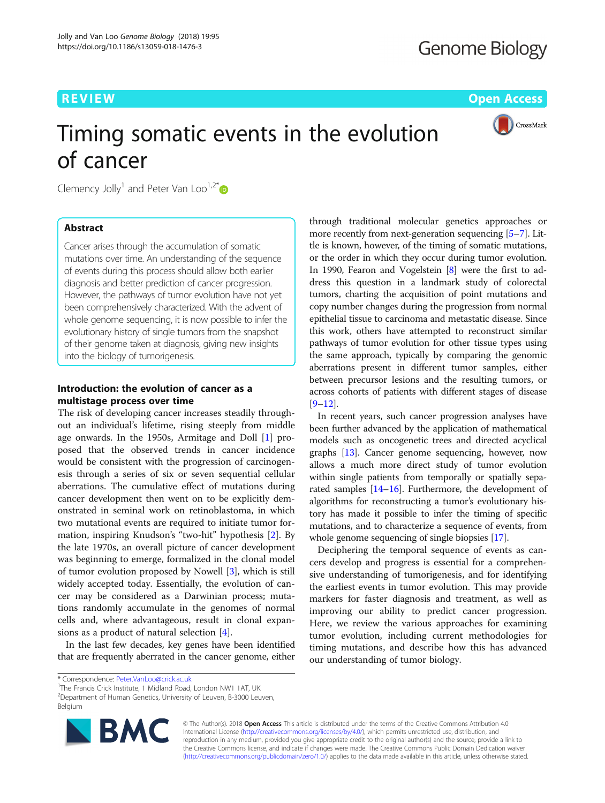**REVIEW CONTROL** CONTROL CONTROL CONTROL CONTROL CONTROL CONTROL CONTROL CONTROL CONTROL CONTROL CONTROL CONTROL CONTROL CONTROL CONTROL CONTROL CONTROL CONTROL CONTROL CONTROL CONTROL CONTROL CONTROL CONTROL CONTROL CONTR



# Timing somatic events in the evolution of cancer

Clemency Jolly<sup>1</sup> and Peter Van Loo<sup>1,2\*</sup>

# Abstract

Cancer arises through the accumulation of somatic mutations over time. An understanding of the sequence of events during this process should allow both earlier diagnosis and better prediction of cancer progression. However, the pathways of tumor evolution have not yet been comprehensively characterized. With the advent of whole genome sequencing, it is now possible to infer the evolutionary history of single tumors from the snapshot of their genome taken at diagnosis, giving new insights into the biology of tumorigenesis.

# Introduction: the evolution of cancer as a multistage process over time

The risk of developing cancer increases steadily throughout an individual's lifetime, rising steeply from middle age onwards. In the 1950s, Armitage and Doll [[1\]](#page-7-0) proposed that the observed trends in cancer incidence would be consistent with the progression of carcinogenesis through a series of six or seven sequential cellular aberrations. The cumulative effect of mutations during cancer development then went on to be explicitly demonstrated in seminal work on retinoblastoma, in which two mutational events are required to initiate tumor formation, inspiring Knudson's "two-hit" hypothesis [[2](#page-7-0)]. By the late 1970s, an overall picture of cancer development was beginning to emerge, formalized in the clonal model of tumor evolution proposed by Nowell [[3\]](#page-7-0), which is still widely accepted today. Essentially, the evolution of cancer may be considered as a Darwinian process; mutations randomly accumulate in the genomes of normal cells and, where advantageous, result in clonal expansions as a product of natural selection [[4\]](#page-7-0).

In the last few decades, key genes have been identified that are frequently aberrated in the cancer genome, either

through traditional molecular genetics approaches or more recently from next-generation sequencing [\[5](#page-7-0)–[7](#page-7-0)]. Little is known, however, of the timing of somatic mutations, or the order in which they occur during tumor evolution. In 1990, Fearon and Vogelstein [\[8\]](#page-7-0) were the first to address this question in a landmark study of colorectal tumors, charting the acquisition of point mutations and copy number changes during the progression from normal epithelial tissue to carcinoma and metastatic disease. Since this work, others have attempted to reconstruct similar pathways of tumor evolution for other tissue types using the same approach, typically by comparing the genomic aberrations present in different tumor samples, either between precursor lesions and the resulting tumors, or across cohorts of patients with different stages of disease  $[9-12]$  $[9-12]$  $[9-12]$  $[9-12]$  $[9-12]$ .

In recent years, such cancer progression analyses have been further advanced by the application of mathematical models such as oncogenetic trees and directed acyclical graphs [\[13](#page-7-0)]. Cancer genome sequencing, however, now allows a much more direct study of tumor evolution within single patients from temporally or spatially separated samples [[14](#page-7-0)–[16\]](#page-7-0). Furthermore, the development of algorithms for reconstructing a tumor's evolutionary history has made it possible to infer the timing of specific mutations, and to characterize a sequence of events, from whole genome sequencing of single biopsies [\[17\]](#page-7-0).

Deciphering the temporal sequence of events as cancers develop and progress is essential for a comprehensive understanding of tumorigenesis, and for identifying the earliest events in tumor evolution. This may provide markers for faster diagnosis and treatment, as well as improving our ability to predict cancer progression. Here, we review the various approaches for examining tumor evolution, including current methodologies for timing mutations, and describe how this has advanced our understanding of tumor biology.

<sup>1</sup>The Francis Crick Institute, 1 Midland Road, London NW1 1AT, UK

Belgium



© The Author(s). 2018 Open Access This article is distributed under the terms of the Creative Commons Attribution 4.0 International License [\(http://creativecommons.org/licenses/by/4.0/](http://creativecommons.org/licenses/by/4.0/)), which permits unrestricted use, distribution, and reproduction in any medium, provided you give appropriate credit to the original author(s) and the source, provide a link to the Creative Commons license, and indicate if changes were made. The Creative Commons Public Domain Dedication waiver [\(http://creativecommons.org/publicdomain/zero/1.0/](http://creativecommons.org/publicdomain/zero/1.0/)) applies to the data made available in this article, unless otherwise stated.

<sup>\*</sup> Correspondence: [Peter.VanLoo@crick.ac.uk](mailto:Peter.VanLoo@crick.ac.uk) <sup>1</sup>

<sup>&</sup>lt;sup>2</sup>Department of Human Genetics, University of Leuven, B-3000 Leuven,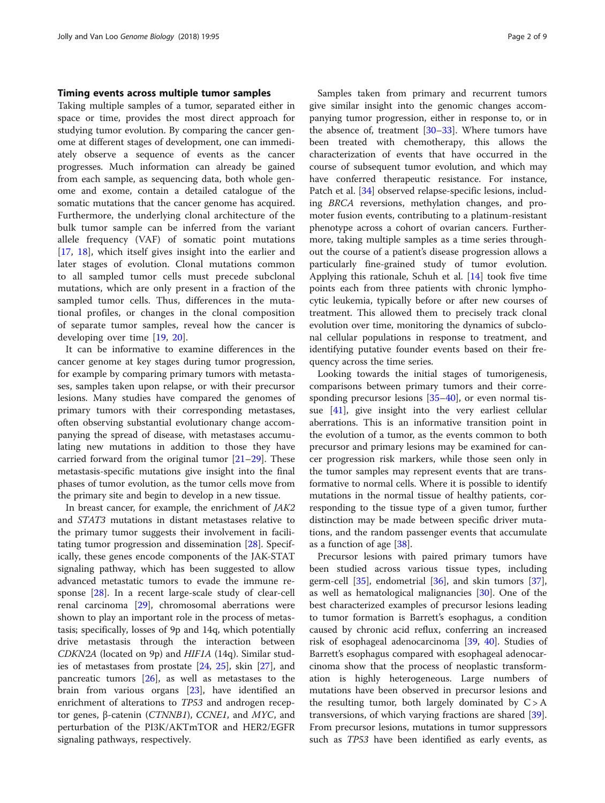### Timing events across multiple tumor samples

Taking multiple samples of a tumor, separated either in space or time, provides the most direct approach for studying tumor evolution. By comparing the cancer genome at different stages of development, one can immediately observe a sequence of events as the cancer progresses. Much information can already be gained from each sample, as sequencing data, both whole genome and exome, contain a detailed catalogue of the somatic mutations that the cancer genome has acquired. Furthermore, the underlying clonal architecture of the bulk tumor sample can be inferred from the variant allele frequency (VAF) of somatic point mutations [[17,](#page-7-0) [18](#page-7-0)], which itself gives insight into the earlier and later stages of evolution. Clonal mutations common to all sampled tumor cells must precede subclonal mutations, which are only present in a fraction of the sampled tumor cells. Thus, differences in the mutational profiles, or changes in the clonal composition of separate tumor samples, reveal how the cancer is developing over time [[19,](#page-7-0) [20\]](#page-7-0).

It can be informative to examine differences in the cancer genome at key stages during tumor progression, for example by comparing primary tumors with metastases, samples taken upon relapse, or with their precursor lesions. Many studies have compared the genomes of primary tumors with their corresponding metastases, often observing substantial evolutionary change accompanying the spread of disease, with metastases accumulating new mutations in addition to those they have carried forward from the original tumor  $[21-29]$  $[21-29]$  $[21-29]$  $[21-29]$  $[21-29]$ . These metastasis-specific mutations give insight into the final phases of tumor evolution, as the tumor cells move from the primary site and begin to develop in a new tissue.

In breast cancer, for example, the enrichment of JAK2 and STAT3 mutations in distant metastases relative to the primary tumor suggests their involvement in facilitating tumor progression and dissemination [\[28\]](#page-7-0). Specifically, these genes encode components of the JAK-STAT signaling pathway, which has been suggested to allow advanced metastatic tumors to evade the immune response [[28](#page-7-0)]. In a recent large-scale study of clear-cell renal carcinoma [[29](#page-7-0)], chromosomal aberrations were shown to play an important role in the process of metastasis; specifically, losses of 9p and 14q, which potentially drive metastasis through the interaction between CDKN2A (located on 9p) and HIF1A (14q). Similar studies of metastases from prostate [\[24](#page-7-0), [25](#page-7-0)], skin [\[27\]](#page-7-0), and pancreatic tumors  $[26]$  $[26]$ , as well as metastases to the brain from various organs [[23](#page-7-0)], have identified an enrichment of alterations to TP53 and androgen receptor genes, β-catenin (CTNNB1), CCNE1, and MYC, and perturbation of the PI3K/AKTmTOR and HER2/EGFR signaling pathways, respectively.

Samples taken from primary and recurrent tumors give similar insight into the genomic changes accompanying tumor progression, either in response to, or in the absence of, treatment  $[30-33]$  $[30-33]$  $[30-33]$  $[30-33]$  $[30-33]$ . Where tumors have been treated with chemotherapy, this allows the characterization of events that have occurred in the course of subsequent tumor evolution, and which may have conferred therapeutic resistance. For instance, Patch et al. [\[34\]](#page-8-0) observed relapse-specific lesions, including BRCA reversions, methylation changes, and promoter fusion events, contributing to a platinum-resistant phenotype across a cohort of ovarian cancers. Furthermore, taking multiple samples as a time series throughout the course of a patient's disease progression allows a particularly fine-grained study of tumor evolution. Applying this rationale, Schuh et al. [[14\]](#page-7-0) took five time points each from three patients with chronic lymphocytic leukemia, typically before or after new courses of treatment. This allowed them to precisely track clonal evolution over time, monitoring the dynamics of subclonal cellular populations in response to treatment, and identifying putative founder events based on their frequency across the time series.

Looking towards the initial stages of tumorigenesis, comparisons between primary tumors and their corresponding precursor lesions [\[35](#page-8-0)–[40\]](#page-8-0), or even normal tissue [\[41\]](#page-8-0), give insight into the very earliest cellular aberrations. This is an informative transition point in the evolution of a tumor, as the events common to both precursor and primary lesions may be examined for cancer progression risk markers, while those seen only in the tumor samples may represent events that are transformative to normal cells. Where it is possible to identify mutations in the normal tissue of healthy patients, corresponding to the tissue type of a given tumor, further distinction may be made between specific driver mutations, and the random passenger events that accumulate as a function of age [[38\]](#page-8-0).

Precursor lesions with paired primary tumors have been studied across various tissue types, including germ-cell [[35\]](#page-8-0), endometrial [[36\]](#page-8-0), and skin tumors [\[37](#page-8-0)], as well as hematological malignancies [\[30\]](#page-7-0). One of the best characterized examples of precursor lesions leading to tumor formation is Barrett's esophagus, a condition caused by chronic acid reflux, conferring an increased risk of esophageal adenocarcinoma [\[39](#page-8-0), [40\]](#page-8-0). Studies of Barrett's esophagus compared with esophageal adenocarcinoma show that the process of neoplastic transformation is highly heterogeneous. Large numbers of mutations have been observed in precursor lesions and the resulting tumor, both largely dominated by  $C > A$ transversions, of which varying fractions are shared [\[39](#page-8-0)]. From precursor lesions, mutations in tumor suppressors such as TP53 have been identified as early events, as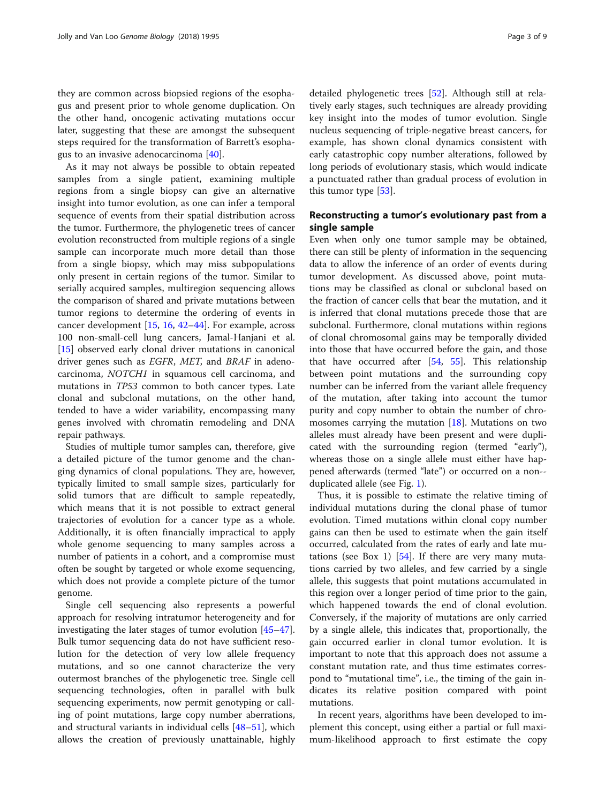they are common across biopsied regions of the esophagus and present prior to whole genome duplication. On the other hand, oncogenic activating mutations occur later, suggesting that these are amongst the subsequent steps required for the transformation of Barrett's esophagus to an invasive adenocarcinoma [[40\]](#page-8-0).

As it may not always be possible to obtain repeated samples from a single patient, examining multiple regions from a single biopsy can give an alternative insight into tumor evolution, as one can infer a temporal sequence of events from their spatial distribution across the tumor. Furthermore, the phylogenetic trees of cancer evolution reconstructed from multiple regions of a single sample can incorporate much more detail than those from a single biopsy, which may miss subpopulations only present in certain regions of the tumor. Similar to serially acquired samples, multiregion sequencing allows the comparison of shared and private mutations between tumor regions to determine the ordering of events in cancer development [\[15](#page-7-0), [16](#page-7-0), [42](#page-8-0)–[44\]](#page-8-0). For example, across 100 non-small-cell lung cancers, Jamal-Hanjani et al. [[15\]](#page-7-0) observed early clonal driver mutations in canonical driver genes such as EGFR, MET, and BRAF in adenocarcinoma, NOTCH1 in squamous cell carcinoma, and mutations in TP53 common to both cancer types. Late clonal and subclonal mutations, on the other hand, tended to have a wider variability, encompassing many genes involved with chromatin remodeling and DNA repair pathways.

Studies of multiple tumor samples can, therefore, give a detailed picture of the tumor genome and the changing dynamics of clonal populations. They are, however, typically limited to small sample sizes, particularly for solid tumors that are difficult to sample repeatedly, which means that it is not possible to extract general trajectories of evolution for a cancer type as a whole. Additionally, it is often financially impractical to apply whole genome sequencing to many samples across a number of patients in a cohort, and a compromise must often be sought by targeted or whole exome sequencing, which does not provide a complete picture of the tumor genome.

Single cell sequencing also represents a powerful approach for resolving intratumor heterogeneity and for investigating the later stages of tumor evolution [[45](#page-8-0)–[47](#page-8-0)]. Bulk tumor sequencing data do not have sufficient resolution for the detection of very low allele frequency mutations, and so one cannot characterize the very outermost branches of the phylogenetic tree. Single cell sequencing technologies, often in parallel with bulk sequencing experiments, now permit genotyping or calling of point mutations, large copy number aberrations, and structural variants in individual cells [[48](#page-8-0)–[51](#page-8-0)], which allows the creation of previously unattainable, highly

detailed phylogenetic trees [\[52\]](#page-8-0). Although still at relatively early stages, such techniques are already providing key insight into the modes of tumor evolution. Single nucleus sequencing of triple-negative breast cancers, for example, has shown clonal dynamics consistent with early catastrophic copy number alterations, followed by long periods of evolutionary stasis, which would indicate a punctuated rather than gradual process of evolution in this tumor type  $[53]$ .

# Reconstructing a tumor's evolutionary past from a single sample

Even when only one tumor sample may be obtained, there can still be plenty of information in the sequencing data to allow the inference of an order of events during tumor development. As discussed above, point mutations may be classified as clonal or subclonal based on the fraction of cancer cells that bear the mutation, and it is inferred that clonal mutations precede those that are subclonal. Furthermore, clonal mutations within regions of clonal chromosomal gains may be temporally divided into those that have occurred before the gain, and those that have occurred after [[54](#page-8-0), [55](#page-8-0)]. This relationship between point mutations and the surrounding copy number can be inferred from the variant allele frequency of the mutation, after taking into account the tumor purity and copy number to obtain the number of chromosomes carrying the mutation [[18\]](#page-7-0). Mutations on two alleles must already have been present and were duplicated with the surrounding region (termed "early"), whereas those on a single allele must either have happened afterwards (termed "late") or occurred on a non- duplicated allele (see Fig. [1\)](#page-3-0).

Thus, it is possible to estimate the relative timing of individual mutations during the clonal phase of tumor evolution. Timed mutations within clonal copy number gains can then be used to estimate when the gain itself occurred, calculated from the rates of early and late mutations (see Box 1)  $[54]$  $[54]$ . If there are very many mutations carried by two alleles, and few carried by a single allele, this suggests that point mutations accumulated in this region over a longer period of time prior to the gain, which happened towards the end of clonal evolution. Conversely, if the majority of mutations are only carried by a single allele, this indicates that, proportionally, the gain occurred earlier in clonal tumor evolution. It is important to note that this approach does not assume a constant mutation rate, and thus time estimates correspond to "mutational time", i.e., the timing of the gain indicates its relative position compared with point mutations.

In recent years, algorithms have been developed to implement this concept, using either a partial or full maximum-likelihood approach to first estimate the copy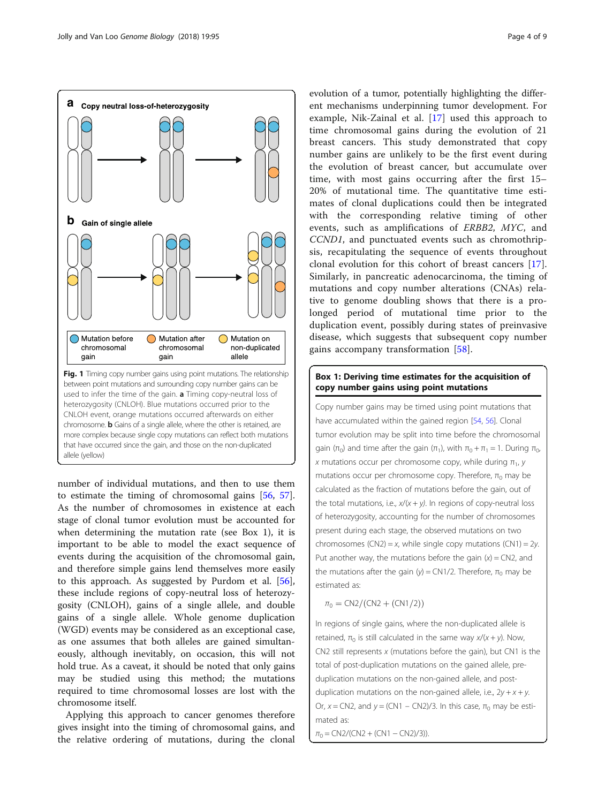<span id="page-3-0"></span>

number of individual mutations, and then to use them to estimate the timing of chromosomal gains [[56,](#page-8-0) [57](#page-8-0)]. As the number of chromosomes in existence at each stage of clonal tumor evolution must be accounted for when determining the mutation rate (see Box 1), it is important to be able to model the exact sequence of events during the acquisition of the chromosomal gain, and therefore simple gains lend themselves more easily to this approach. As suggested by Purdom et al. [\[56](#page-8-0)], these include regions of copy-neutral loss of heterozygosity (CNLOH), gains of a single allele, and double gains of a single allele. Whole genome duplication (WGD) events may be considered as an exceptional case, as one assumes that both alleles are gained simultaneously, although inevitably, on occasion, this will not hold true. As a caveat, it should be noted that only gains may be studied using this method; the mutations required to time chromosomal losses are lost with the chromosome itself.

Applying this approach to cancer genomes therefore gives insight into the timing of chromosomal gains, and the relative ordering of mutations, during the clonal

evolution of a tumor, potentially highlighting the different mechanisms underpinning tumor development. For example, Nik-Zainal et al. [\[17](#page-7-0)] used this approach to time chromosomal gains during the evolution of 21 breast cancers. This study demonstrated that copy number gains are unlikely to be the first event during the evolution of breast cancer, but accumulate over time, with most gains occurring after the first 15– 20% of mutational time. The quantitative time estimates of clonal duplications could then be integrated with the corresponding relative timing of other events, such as amplifications of ERBB2, MYC, and CCND1, and punctuated events such as chromothripsis, recapitulating the sequence of events throughout clonal evolution for this cohort of breast cancers [\[17](#page-7-0)]. Similarly, in pancreatic adenocarcinoma, the timing of mutations and copy number alterations (CNAs) relative to genome doubling shows that there is a prolonged period of mutational time prior to the duplication event, possibly during states of preinvasive disease, which suggests that subsequent copy number gains accompany transformation [[58](#page-8-0)].

# Box 1: Deriving time estimates for the acquisition of copy number gains using point mutations

Copy number gains may be timed using point mutations that have accumulated within the gained region [[54](#page-8-0), [56](#page-8-0)]. Clonal tumor evolution may be split into time before the chromosomal gain (π<sub>0</sub>) and time after the gain (π<sub>1</sub>), with  $\pi_0 + \pi_1 = 1$ . During  $\pi_0$ , x mutations occur per chromosome copy, while during  $\pi_1$ , y mutations occur per chromosome copy. Therefore,  $\pi_0$  may be calculated as the fraction of mutations before the gain, out of the total mutations, i.e.,  $x/(x + y)$ . In regions of copy-neutral loss of heterozygosity, accounting for the number of chromosomes present during each stage, the observed mutations on two chromosomes (CN2) =  $x$ , while single copy mutations (CN1) =  $2y$ . Put another way, the mutations before the gain  $(x) = CN2$ , and the mutations after the gain (y) = CN1/2. Therefore,  $π_0$  may be estimated as:

 $\pi_0 = CN2/(CN2 + (CN1/2))$ 

In regions of single gains, where the non-duplicated allele is retained,  $\pi_0$  is still calculated in the same way  $x/(x + y)$ . Now, CN2 still represents  $x$  (mutations before the gain), but CN1 is the total of post-duplication mutations on the gained allele, preduplication mutations on the non-gained allele, and postduplication mutations on the non-gained allele, i.e.,  $2y + x + y$ . Or,  $x = CN2$ , and  $y = (CN1 - CN2)/3$ . In this case, π<sub>0</sub> may be estimated as:

 $\pi_0 = CN2/(CN2 + (CN1 - CN2)/3)$ ).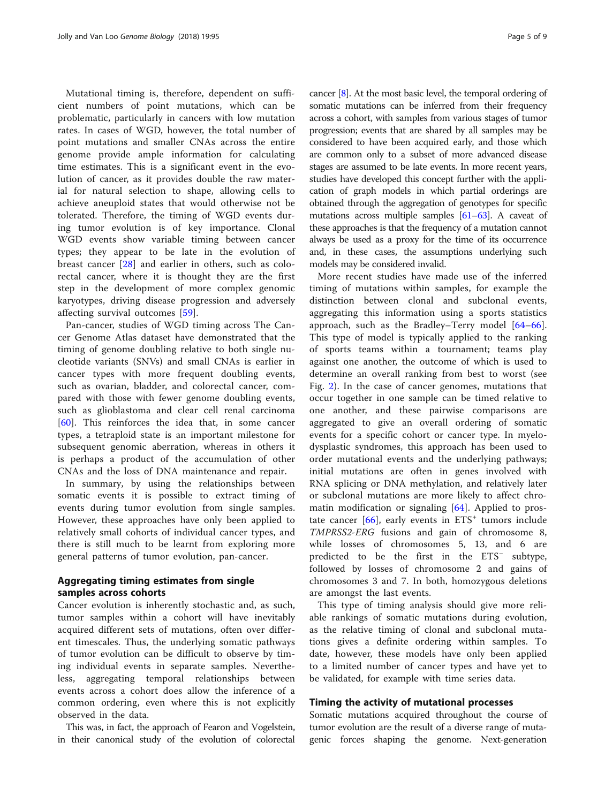Mutational timing is, therefore, dependent on sufficient numbers of point mutations, which can be problematic, particularly in cancers with low mutation rates. In cases of WGD, however, the total number of point mutations and smaller CNAs across the entire genome provide ample information for calculating time estimates. This is a significant event in the evolution of cancer, as it provides double the raw material for natural selection to shape, allowing cells to achieve aneuploid states that would otherwise not be tolerated. Therefore, the timing of WGD events during tumor evolution is of key importance. Clonal WGD events show variable timing between cancer types; they appear to be late in the evolution of breast cancer [[28\]](#page-7-0) and earlier in others, such as colorectal cancer, where it is thought they are the first step in the development of more complex genomic karyotypes, driving disease progression and adversely affecting survival outcomes [[59\]](#page-8-0).

Pan-cancer, studies of WGD timing across The Cancer Genome Atlas dataset have demonstrated that the timing of genome doubling relative to both single nucleotide variants (SNVs) and small CNAs is earlier in cancer types with more frequent doubling events, such as ovarian, bladder, and colorectal cancer, compared with those with fewer genome doubling events, such as glioblastoma and clear cell renal carcinoma [[60\]](#page-8-0). This reinforces the idea that, in some cancer types, a tetraploid state is an important milestone for subsequent genomic aberration, whereas in others it is perhaps a product of the accumulation of other CNAs and the loss of DNA maintenance and repair.

In summary, by using the relationships between somatic events it is possible to extract timing of events during tumor evolution from single samples. However, these approaches have only been applied to relatively small cohorts of individual cancer types, and there is still much to be learnt from exploring more general patterns of tumor evolution, pan-cancer.

# Aggregating timing estimates from single samples across cohorts

Cancer evolution is inherently stochastic and, as such, tumor samples within a cohort will have inevitably acquired different sets of mutations, often over different timescales. Thus, the underlying somatic pathways of tumor evolution can be difficult to observe by timing individual events in separate samples. Nevertheless, aggregating temporal relationships between events across a cohort does allow the inference of a common ordering, even where this is not explicitly observed in the data.

This was, in fact, the approach of Fearon and Vogelstein, in their canonical study of the evolution of colorectal cancer [\[8\]](#page-7-0). At the most basic level, the temporal ordering of somatic mutations can be inferred from their frequency across a cohort, with samples from various stages of tumor progression; events that are shared by all samples may be considered to have been acquired early, and those which are common only to a subset of more advanced disease stages are assumed to be late events. In more recent years, studies have developed this concept further with the application of graph models in which partial orderings are obtained through the aggregation of genotypes for specific mutations across multiple samples [\[61](#page-8-0)–[63\]](#page-8-0). A caveat of these approaches is that the frequency of a mutation cannot always be used as a proxy for the time of its occurrence and, in these cases, the assumptions underlying such models may be considered invalid.

More recent studies have made use of the inferred timing of mutations within samples, for example the distinction between clonal and subclonal events, aggregating this information using a sports statistics approach, such as the Bradley–Terry model  $[64-66]$  $[64-66]$  $[64-66]$  $[64-66]$ . This type of model is typically applied to the ranking of sports teams within a tournament; teams play against one another, the outcome of which is used to determine an overall ranking from best to worst (see Fig. [2\)](#page-5-0). In the case of cancer genomes, mutations that occur together in one sample can be timed relative to one another, and these pairwise comparisons are aggregated to give an overall ordering of somatic events for a specific cohort or cancer type. In myelodysplastic syndromes, this approach has been used to order mutational events and the underlying pathways; initial mutations are often in genes involved with RNA splicing or DNA methylation, and relatively later or subclonal mutations are more likely to affect chromatin modification or signaling  $[64]$  $[64]$ . Applied to prostate cancer  $[66]$  $[66]$ , early events in ETS<sup>+</sup> tumors include TMPRSS2-ERG fusions and gain of chromosome 8, while losses of chromosomes 5, 13, and 6 are predicted to be the first in the ETS<sup>−</sup> subtype, followed by losses of chromosome 2 and gains of chromosomes 3 and 7. In both, homozygous deletions are amongst the last events.

This type of timing analysis should give more reliable rankings of somatic mutations during evolution, as the relative timing of clonal and subclonal mutations gives a definite ordering within samples. To date, however, these models have only been applied to a limited number of cancer types and have yet to be validated, for example with time series data.

#### Timing the activity of mutational processes

Somatic mutations acquired throughout the course of tumor evolution are the result of a diverse range of mutagenic forces shaping the genome. Next-generation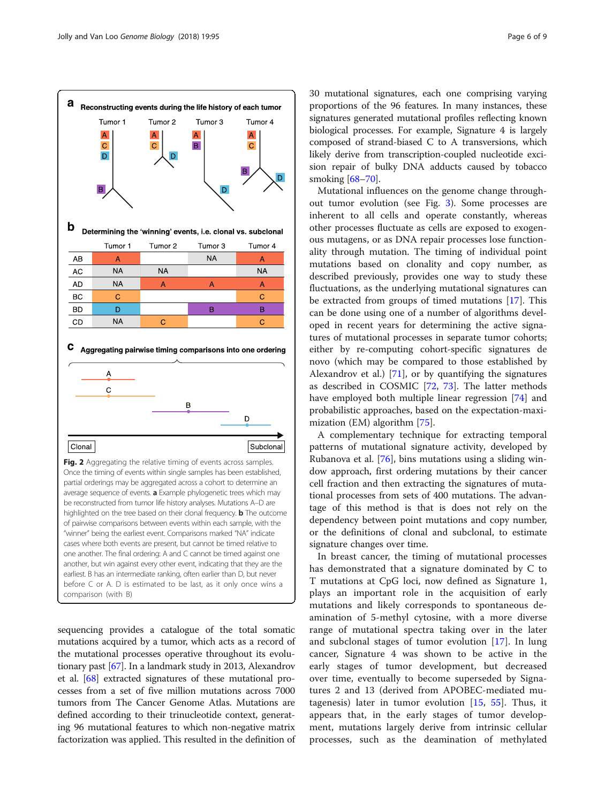

<span id="page-5-0"></span>

sequencing provides a catalogue of the total somatic mutations acquired by a tumor, which acts as a record of the mutational processes operative throughout its evolutionary past [\[67](#page-8-0)]. In a landmark study in 2013, Alexandrov et al. [[68\]](#page-8-0) extracted signatures of these mutational processes from a set of five million mutations across 7000 tumors from The Cancer Genome Atlas. Mutations are defined according to their trinucleotide context, generating 96 mutational features to which non-negative matrix factorization was applied. This resulted in the definition of

30 mutational signatures, each one comprising varying proportions of the 96 features. In many instances, these signatures generated mutational profiles reflecting known biological processes. For example, Signature 4 is largely composed of strand-biased C to A transversions, which likely derive from transcription-coupled nucleotide excision repair of bulky DNA adducts caused by tobacco smoking [\[68](#page-8-0)–[70\]](#page-8-0).

Mutational influences on the genome change throughout tumor evolution (see Fig. [3\)](#page-6-0). Some processes are inherent to all cells and operate constantly, whereas other processes fluctuate as cells are exposed to exogenous mutagens, or as DNA repair processes lose functionality through mutation. The timing of individual point mutations based on clonality and copy number, as described previously, provides one way to study these fluctuations, as the underlying mutational signatures can be extracted from groups of timed mutations [[17](#page-7-0)]. This can be done using one of a number of algorithms developed in recent years for determining the active signatures of mutational processes in separate tumor cohorts; either by re-computing cohort-specific signatures de novo (which may be compared to those established by Alexandrov et al.) [\[71\]](#page-8-0), or by quantifying the signatures as described in COSMIC [\[72,](#page-8-0) [73](#page-8-0)]. The latter methods have employed both multiple linear regression [[74](#page-8-0)] and probabilistic approaches, based on the expectation-maximization (EM) algorithm [\[75](#page-8-0)].

A complementary technique for extracting temporal patterns of mutational signature activity, developed by Rubanova et al. [[76](#page-8-0)], bins mutations using a sliding window approach, first ordering mutations by their cancer cell fraction and then extracting the signatures of mutational processes from sets of 400 mutations. The advantage of this method is that is does not rely on the dependency between point mutations and copy number, or the definitions of clonal and subclonal, to estimate signature changes over time.

In breast cancer, the timing of mutational processes has demonstrated that a signature dominated by C to T mutations at CpG loci, now defined as Signature 1, plays an important role in the acquisition of early mutations and likely corresponds to spontaneous deamination of 5-methyl cytosine, with a more diverse range of mutational spectra taking over in the later and subclonal stages of tumor evolution [\[17](#page-7-0)]. In lung cancer, Signature 4 was shown to be active in the early stages of tumor development, but decreased over time, eventually to become superseded by Signatures 2 and 13 (derived from APOBEC-mediated mutagenesis) later in tumor evolution [[15,](#page-7-0) [55](#page-8-0)]. Thus, it appears that, in the early stages of tumor development, mutations largely derive from intrinsic cellular processes, such as the deamination of methylated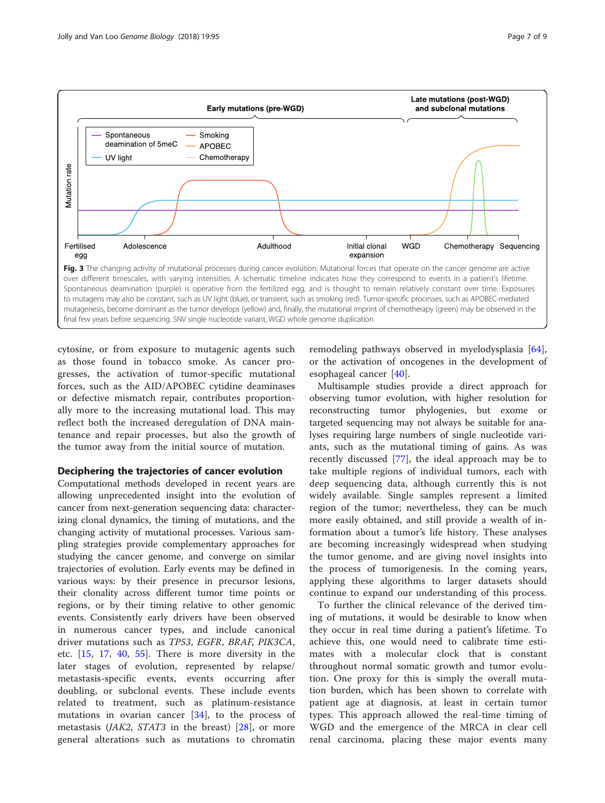<span id="page-6-0"></span>

cytosine, or from exposure to mutagenic agents such as those found in tobacco smoke. As cancer progresses, the activation of tumor-specific mutational forces, such as the AID/APOBEC cytidine deaminases or defective mismatch repair, contributes proportionally more to the increasing mutational load. This may reflect both the increased deregulation of DNA maintenance and repair processes, but also the growth of the tumor away from the initial source of mutation.

# Deciphering the trajectories of cancer evolution

Computational methods developed in recent years are allowing unprecedented insight into the evolution of cancer from next-generation sequencing data: characterizing clonal dynamics, the timing of mutations, and the changing activity of mutational processes. Various sampling strategies provide complementary approaches for studying the cancer genome, and converge on similar trajectories of evolution. Early events may be defined in various ways: by their presence in precursor lesions, their clonality across different tumor time points or regions, or by their timing relative to other genomic events. Consistently early drivers have been observed in numerous cancer types, and include canonical driver mutations such as TP53, EGFR, BRAF, PIK3CA, etc. [[15,](#page-7-0) [17,](#page-7-0) [40](#page-8-0), [55\]](#page-8-0). There is more diversity in the later stages of evolution, represented by relapse/ metastasis-specific events, events occurring after doubling, or subclonal events. These include events related to treatment, such as platinum-resistance mutations in ovarian cancer [\[34](#page-8-0)], to the process of metastasis (*JAK2*, *STAT3* in the breast) [[28](#page-7-0)], or more general alterations such as mutations to chromatin

remodeling pathways observed in myelodysplasia [\[64](#page-8-0)], or the activation of oncogenes in the development of esophageal cancer [\[40](#page-8-0)].

Multisample studies provide a direct approach for observing tumor evolution, with higher resolution for reconstructing tumor phylogenies, but exome or targeted sequencing may not always be suitable for analyses requiring large numbers of single nucleotide variants, such as the mutational timing of gains. As was recently discussed [[77\]](#page-8-0), the ideal approach may be to take multiple regions of individual tumors, each with deep sequencing data, although currently this is not widely available. Single samples represent a limited region of the tumor; nevertheless, they can be much more easily obtained, and still provide a wealth of information about a tumor's life history. These analyses are becoming increasingly widespread when studying the tumor genome, and are giving novel insights into the process of tumorigenesis. In the coming years, applying these algorithms to larger datasets should continue to expand our understanding of this process.

To further the clinical relevance of the derived timing of mutations, it would be desirable to know when they occur in real time during a patient's lifetime. To achieve this, one would need to calibrate time estimates with a molecular clock that is constant throughout normal somatic growth and tumor evolution. One proxy for this is simply the overall mutation burden, which has been shown to correlate with patient age at diagnosis, at least in certain tumor types. This approach allowed the real-time timing of WGD and the emergence of the MRCA in clear cell renal carcinoma, placing these major events many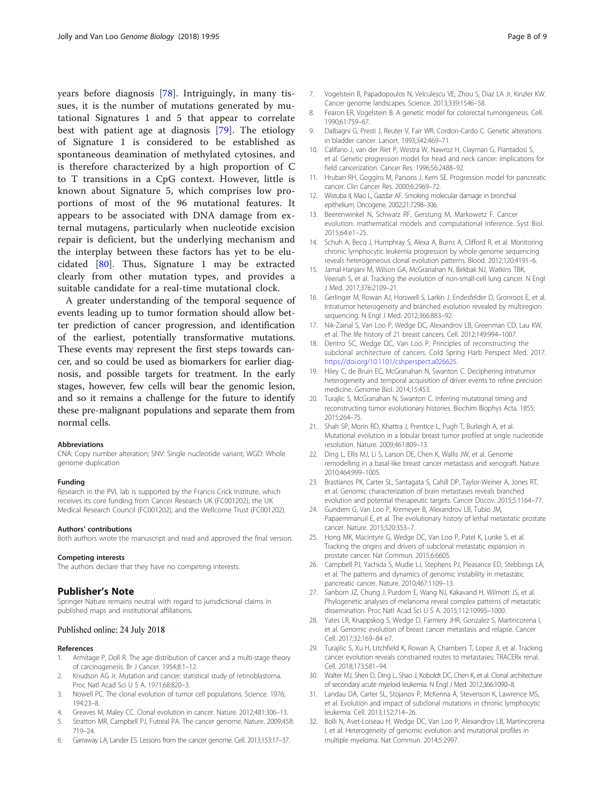<span id="page-7-0"></span>years before diagnosis [\[78](#page-8-0)]. Intriguingly, in many tissues, it is the number of mutations generated by mutational Signatures 1 and 5 that appear to correlate best with patient age at diagnosis [\[79](#page-8-0)]. The etiology of Signature 1 is considered to be established as spontaneous deamination of methylated cytosines, and is therefore characterized by a high proportion of C to T transitions in a CpG context. However, little is known about Signature 5, which comprises low proportions of most of the 96 mutational features. It appears to be associated with DNA damage from external mutagens, particularly when nucleotide excision repair is deficient, but the underlying mechanism and the interplay between these factors has yet to be elucidated [\[80](#page-8-0)]. Thus, Signature 1 may be extracted clearly from other mutation types, and provides a suitable candidate for a real-time mutational clock.

A greater understanding of the temporal sequence of events leading up to tumor formation should allow better prediction of cancer progression, and identification of the earliest, potentially transformative mutations. These events may represent the first steps towards cancer, and so could be used as biomarkers for earlier diagnosis, and possible targets for treatment. In the early stages, however, few cells will bear the genomic lesion, and so it remains a challenge for the future to identify these pre-malignant populations and separate them from normal cells.

#### Abbreviations

CNA: Copy number alteration; SNV: Single nucleotide variant; WGD: Whole genome duplication

#### Funding

Research in the PVL lab is supported by the Francis Crick Institute, which receives its core funding from Cancer Research UK (FC001202), the UK Medical Research Council (FC001202), and the Wellcome Trust (FC001202).

#### Authors' contributions

Both authors wrote the manuscript and read and approved the final version.

#### Competing interests

The authors declare that they have no competing interests.

### Publisher's Note

Springer Nature remains neutral with regard to jurisdictional claims in published maps and institutional affiliations.

#### Published online: 24 July 2018

#### References

- 1. Armitage P, Doll R. The age distribution of cancer and a multi-stage theory of carcinogenesis. Br J Cancer. 1954;8:1–12.
- 2. Knudson AG Jr. Mutation and cancer: statistical study of retinoblastoma. Proc Natl Acad Sci U S A. 1971;68:820–3.
- 3. Nowell PC. The clonal evolution of tumor cell populations. Science. 1976; 194:23–8.
- 4. Greaves M, Maley CC. Clonal evolution in cancer. Nature. 2012;481:306–13.
- Stratton MR, Campbell PJ, Futreal PA. The cancer genome. Nature. 2009;458: 719–24.
- 6. Garraway LA, Lander ES. Lessons from the cancer genome. Cell. 2013;153:17–37.
- 7. Vogelstein B, Papadopoulos N, Velculescu VE, Zhou S, Diaz LA Jr, Kinzler KW. Cancer genome landscapes. Science. 2013;339:1546–58.
- 8. Fearon ER, Vogelstein B. A genetic model for colorectal tumorigenesis. Cell. 1990;61:759–67.
- 9. Dalbagni G, Presti J, Reuter V, Fair WR, Cordon-Cardo C. Genetic alterations in bladder cancer. Lancet. 1993;342:469–71.
- 10. Califano J, van der Riet P, Westra W, Nawroz H, Clayman G, Piantadosi S, et al. Genetic progression model for head and neck cancer: implications for field cancerization. Cancer Res. 1996;56:2488–92.
- 11. Hruban RH, Goggins M, Parsons J, Kern SE. Progression model for pancreatic cancer. Clin Cancer Res. 2000;6:2969–72.
- 12. Wistuba II, Mao L, Gazdar AF. Smoking molecular damage in bronchial epithelium. Oncogene. 2002;21:7298–306.
- 13. Beerenwinkel N, Schwarz RF, Gerstung M, Markowetz F. Cancer evolution: mathematical models and computational inference. Syst Biol. 2015;64:e1–25.
- 14. Schuh A, Becq J, Humphray S, Alexa A, Burns A, Clifford R, et al. Monitoring chronic lymphocytic leukemia progression by whole genome sequencing reveals heterogeneous clonal evolution patterns. Blood. 2012;120:4191–6.
- 15. Jamal-Hanjani M, Wilson GA, McGranahan N, Birkbak NJ, Watkins TBK, Veeriah S, et al. Tracking the evolution of non-small-cell lung cancer. N Engl J Med. 2017;376:2109–21.
- 16. Gerlinger M, Rowan AJ, Horswell S, Larkin J, Endesfelder D, Gronroos E, et al. Intratumor heterogeneity and branched evolution revealed by multiregion sequencing. N Engl J Med. 2012;366:883–92.
- 17. Nik-Zainal S, Van Loo P, Wedge DC, Alexandrov LB, Greenman CD, Lau KW, et al. The life history of 21 breast cancers. Cell. 2012;149:994–1007.
- 18. Dentro SC, Wedge DC, Van Loo P. Principles of reconstructing the subclonal architecture of cancers. Cold Spring Harb Perspect Med. 2017. [https://doi.org/10.1101/cshperspect.a026625.](https://doi.org/10.1101/cshperspect.a026625)
- 19. Hiley C, de Bruin EC, McGranahan N, Swanton C. Deciphering intratumor heterogeneity and temporal acquisition of driver events to refine precision medicine. Genome Biol. 2014;15:453.
- 20. Turajlic S, McGranahan N, Swanton C. Inferring mutational timing and reconstructing tumor evolutionary histories. Biochim Biophys Acta. 1855; 2015:264–75.
- 21. Shah SP, Morin RD, Khattra J, Prentice L, Pugh T, Burleigh A, et al. Mutational evolution in a lobular breast tumor profiled at single nucleotide resolution. Nature. 2009;461:809–13.
- 22. Ding L, Ellis MJ, Li S, Larson DE, Chen K, Wallis JW, et al. Genome remodelling in a basal-like breast cancer metastasis and xenograft. Nature. 2010;464:999–1005.
- 23. Brastianos PK, Carter SL, Santagata S, Cahill DP, Taylor-Weiner A, Jones RT, et al. Genomic characterization of brain metastases reveals branched evolution and potential therapeutic targets. Cancer Discov. 2015;5:1164–77.
- 24. Gundem G, Van Loo P, Kremeyer B, Alexandrov LB, Tubio JM, Papaemmanuil E, et al. The evolutionary history of lethal metastatic prostate cancer. Nature. 2015;520:353–7.
- 25. Hong MK, Macintyre G, Wedge DC, Van Loo P, Patel K, Lunke S, et al. Tracking the origins and drivers of subclonal metastatic expansion in prostate cancer. Nat Commun. 2015;6:6605.
- 26. Campbell PJ, Yachida S, Mudie LJ, Stephens PJ, Pleasance ED, Stebbings LA, et al. The patterns and dynamics of genomic instability in metastatic pancreatic cancer. Nature. 2010;467:1109–13.
- 27. Sanborn JZ, Chung J, Purdom E, Wang NJ, Kakavand H, Wilmott JS, et al. Phylogenetic analyses of melanoma reveal complex patterns of metastatic dissemination. Proc Natl Acad Sci U S A. 2015;112:10995–1000.
- 28. Yates LR, Knappskog S, Wedge D, Farmery JHR, Gonzalez S, Martincorena I, et al. Genomic evolution of breast cancer metastasis and relapse. Cancer Cell. 2017;32:169–84 e7.
- 29. Turajilic S, Xu H, Litchfield K, Rowan A, Chambers T, Lopez JI, et al. Tracking cancer evolution reveals constrained routes to metastases: TRACERx renal. Cell. 2018;173:581–94.
- 30. Walter MJ, Shen D, Ding L, Shao J, Koboldt DC, Chen K, et al. Clonal architecture of secondary acute myeloid leukemia. N Engl J Med. 2012;366:1090–8.
- 31. Landau DA, Carter SL, Stojanov P, McKenna A, Stevenson K, Lawrence MS, et al. Evolution and impact of subclonal mutations in chronic lymphocytic leukemia. Cell. 2013;152:714–26.
- 32. Bolli N, Avet-Loiseau H, Wedge DC, Van Loo P, Alexandrov LB, Martincorena I, et al. Heterogeneity of genomic evolution and mutational profiles in multiple myeloma. Nat Commun. 2014;5:2997.